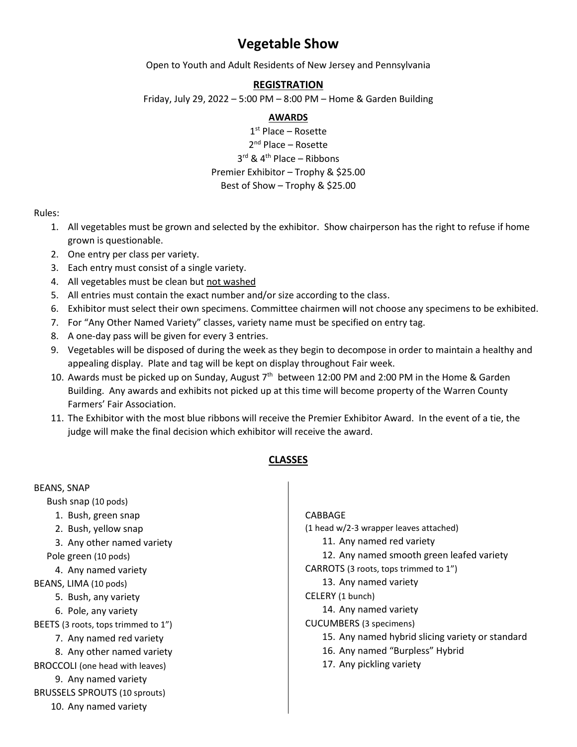# **Vegetable Show**

Open to Youth and Adult Residents of New Jersey and Pennsylvania

## **REGISTRATION**

Friday, July 29, 2022 – 5:00 PM – 8:00 PM – Home & Garden Building

### **AWARDS**

1 st Place – Rosette 2<sup>nd</sup> Place – Rosette 3<sup>rd</sup> & 4<sup>th</sup> Place – Ribbons Premier Exhibitor – Trophy & \$25.00 Best of Show – Trophy & \$25.00

#### Rules:

- 1. All vegetables must be grown and selected by the exhibitor. Show chairperson has the right to refuse if home grown is questionable.
- 2. One entry per class per variety.
- 3. Each entry must consist of a single variety.
- 4. All vegetables must be clean but not washed
- 5. All entries must contain the exact number and/or size according to the class.
- 6. Exhibitor must select their own specimens. Committee chairmen will not choose any specimens to be exhibited.
- 7. For "Any Other Named Variety" classes, variety name must be specified on entry tag.
- 8. A one-day pass will be given for every 3 entries.
- 9. Vegetables will be disposed of during the week as they begin to decompose in order to maintain a healthy and appealing display. Plate and tag will be kept on display throughout Fair week.
- 10. Awards must be picked up on Sunday, August  $7<sup>th</sup>$  between 12:00 PM and 2:00 PM in the Home & Garden Building. Any awards and exhibits not picked up at this time will become property of the Warren County Farmers' Fair Association.
- 11. The Exhibitor with the most blue ribbons will receive the Premier Exhibitor Award. In the event of a tie, the judge will make the final decision which exhibitor will receive the award.

## **CLASSES**

| <b>BEANS, SNAP</b>                   |                                                  |
|--------------------------------------|--------------------------------------------------|
| Bush snap (10 pods)                  |                                                  |
| 1. Bush, green snap                  | <b>CABBAGE</b>                                   |
| 2. Bush, yellow snap                 | (1 head w/2-3 wrapper leaves attached)           |
| 3. Any other named variety           | 11. Any named red variety                        |
| Pole green (10 pods)                 | 12. Any named smooth green leafed variety        |
| 4. Any named variety                 | CARROTS (3 roots, tops trimmed to 1")            |
| BEANS, LIMA (10 pods)                | 13. Any named variety                            |
| 5. Bush, any variety                 | CELERY (1 bunch)                                 |
| 6. Pole, any variety                 | 14. Any named variety                            |
| BEETS (3 roots, tops trimmed to 1")  | <b>CUCUMBERS</b> (3 specimens)                   |
| 7. Any named red variety             | 15. Any named hybrid slicing variety or standard |
| 8. Any other named variety           | 16. Any named "Burpless" Hybrid                  |
| BROCCOLI (one head with leaves)      | 17. Any pickling variety                         |
| 9. Any named variety                 |                                                  |
| <b>BRUSSELS SPROUTS (10 sprouts)</b> |                                                  |
| 10. Any named variety                |                                                  |
|                                      |                                                  |